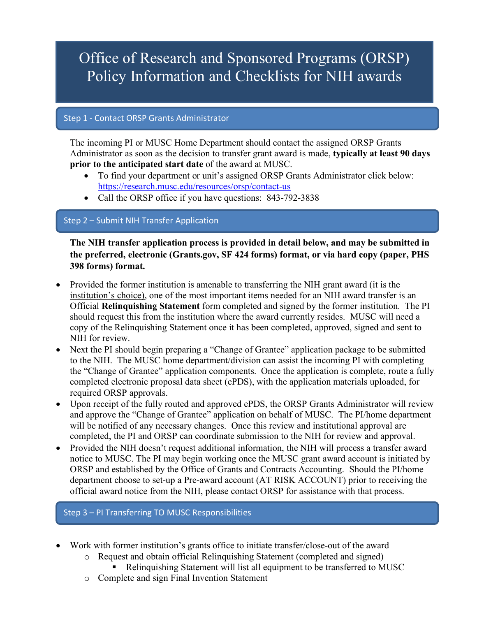# Office of Research and Sponsored Programs (ORSP) Policy Information and Checklists for NIH awards

### Step 1 - Contact ORSP Grants Administrator

The incoming PI or MUSC Home Department should contact the assigned ORSP Grants Administrator as soon as the decision to transfer grant award is made, **typically at least 90 days prior to the anticipated start date** of the award at MUSC.

- To find your department or unit's assigned ORSP Grants Administrator click below: https://research.musc.edu/resources/orsp/contact-us
- Call the ORSP office if you have questions: 843-792-3838

## Step 2 – Submit NIH Transfer Application

**The NIH transfer application process is provided in detail below, and may be submitted in the preferred, electronic (Grants.gov, SF 424 forms) format, or via hard copy (paper, PHS 398 forms) format.** 

- Provided the former institution is amenable to transferring the NIH grant award (it is the institution's choice), one of the most important items needed for an NIH award transfer is an Official **Relinquishing Statement** form completed and signed by the former institution. The PI should request this from the institution where the award currently resides. MUSC will need a copy of the Relinquishing Statement once it has been completed, approved, signed and sent to NIH for review.
- Next the PI should begin preparing a "Change of Grantee" application package to be submitted to the NIH. The MUSC home department/division can assist the incoming PI with completing the "Change of Grantee" application components. Once the application is complete, route a fully completed electronic proposal data sheet (ePDS), with the application materials uploaded, for required ORSP approvals.
- Upon receipt of the fully routed and approved ePDS, the ORSP Grants Administrator will review and approve the "Change of Grantee" application on behalf of MUSC. The PI/home department will be notified of any necessary changes. Once this review and institutional approval are completed, the PI and ORSP can coordinate submission to the NIH for review and approval.
- Provided the NIH doesn't request additional information, the NIH will process a transfer award notice to MUSC. The PI may begin working once the MUSC grant award account is initiated by ORSP and established by the Office of Grants and Contracts Accounting. Should the PI/home department choose to set-up a Pre-award account (AT RISK ACCOUNT) prior to receiving the official award notice from the NIH, please contact ORSP for assistance with that process.

Step 3 – PI Transferring TO MUSC Responsibilities

- Work with former institution's grants office to initiate transfer/close-out of the award
	- o Request and obtain official Relinquishing Statement (completed and signed)
		- § Relinquishing Statement will list all equipment to be transferred to MUSC
	- o Complete and sign Final Invention Statement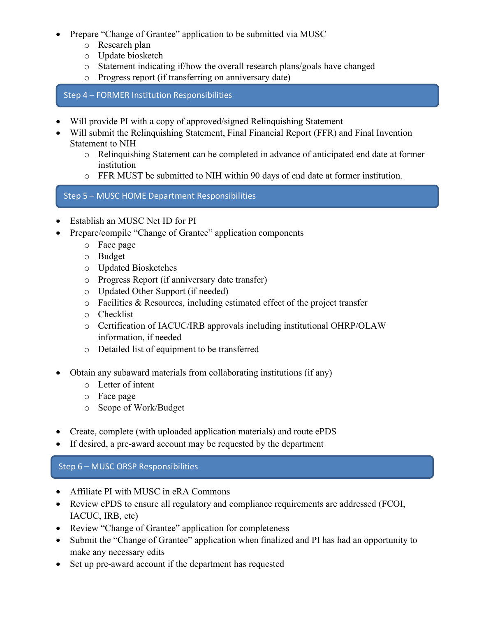- Prepare "Change of Grantee" application to be submitted via MUSC
	- o Research plan
	- o Update biosketch
	- o Statement indicating if/how the overall research plans/goals have changed
	- o Progress report (if transferring on anniversary date)

Step 4 – FORMER Institution Responsibilities

- Will provide PI with a copy of approved/signed Relinquishing Statement
- Will submit the Relinquishing Statement, Final Financial Report (FFR) and Final Invention Statement to NIH
	- o Relinquishing Statement can be completed in advance of anticipated end date at former institution
	- o FFR MUST be submitted to NIH within 90 days of end date at former institution.

Step 5 – MUSC HOME Department Responsibilities

- Establish an MUSC Net ID for PI
- Prepare/compile "Change of Grantee" application components
	- o Face page
	- o Budget
	- o Updated Biosketches
	- o Progress Report (if anniversary date transfer)
	- o Updated Other Support (if needed)
	- o Facilities & Resources, including estimated effect of the project transfer
	- o Checklist
	- o Certification of IACUC/IRB approvals including institutional OHRP/OLAW information, if needed
	- o Detailed list of equipment to be transferred
- Obtain any subaward materials from collaborating institutions (if any)
	- o Letter of intent
	- o Face page
	- o Scope of Work/Budget
- Create, complete (with uploaded application materials) and route ePDS
- If desired, a pre-award account may be requested by the department

#### Step 6 – MUSC ORSP Responsibilities

- Affiliate PI with MUSC in eRA Commons
- Review ePDS to ensure all regulatory and compliance requirements are addressed (FCOI, IACUC, IRB, etc)
- Review "Change of Grantee" application for completeness
- Submit the "Change of Grantee" application when finalized and PI has had an opportunity to make any necessary edits
- Set up pre-award account if the department has requested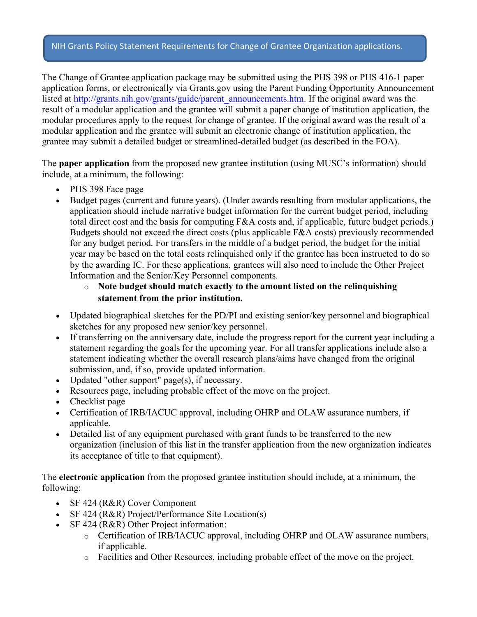#### NIH Grants Policy Statement Requirements for Change of Grantee Organization applications.

The Change of Grantee application package may be submitted using the PHS 398 or PHS 416-1 paper application forms, or electronically via Grants.gov using the Parent Funding Opportunity Announcement listed at http://grants.nih.gov/grants/guide/parent\_announcements.htm. If the original award was the result of a modular application and the grantee will submit a paper change of institution application, the modular procedures apply to the request for change of grantee. If the original award was the result of a modular application and the grantee will submit an electronic change of institution application, the grantee may submit a detailed budget or streamlined-detailed budget (as described in the FOA).

The **paper application** from the proposed new grantee institution (using MUSC's information) should include, at a minimum, the following:

- PHS 398 Face page
- Budget pages (current and future years). (Under awards resulting from modular applications, the application should include narrative budget information for the current budget period, including total direct cost and the basis for computing F&A costs and, if applicable, future budget periods.) Budgets should not exceed the direct costs (plus applicable F&A costs) previously recommended for any budget period. For transfers in the middle of a budget period, the budget for the initial year may be based on the total costs relinquished only if the grantee has been instructed to do so by the awarding IC. For these applications, grantees will also need to include the Other Project Information and the Senior/Key Personnel components.

### o **Note budget should match exactly to the amount listed on the relinquishing statement from the prior institution.**

- Updated biographical sketches for the PD/PI and existing senior/key personnel and biographical sketches for any proposed new senior/key personnel.
- If transferring on the anniversary date, include the progress report for the current year including a statement regarding the goals for the upcoming year. For all transfer applications include also a statement indicating whether the overall research plans/aims have changed from the original submission, and, if so, provide updated information.
- Updated "other support" page(s), if necessary.
- Resources page, including probable effect of the move on the project.
- Checklist page
- Certification of IRB/IACUC approval, including OHRP and OLAW assurance numbers, if applicable.
- Detailed list of any equipment purchased with grant funds to be transferred to the new organization (inclusion of this list in the transfer application from the new organization indicates its acceptance of title to that equipment).

The **electronic application** from the proposed grantee institution should include, at a minimum, the following:

- SF 424 (R&R) Cover Component
- SF 424 (R&R) Project/Performance Site Location(s)
- SF 424 (R&R) Other Project information:
	- o Certification of IRB/IACUC approval, including OHRP and OLAW assurance numbers, if applicable.
	- o Facilities and Other Resources, including probable effect of the move on the project.